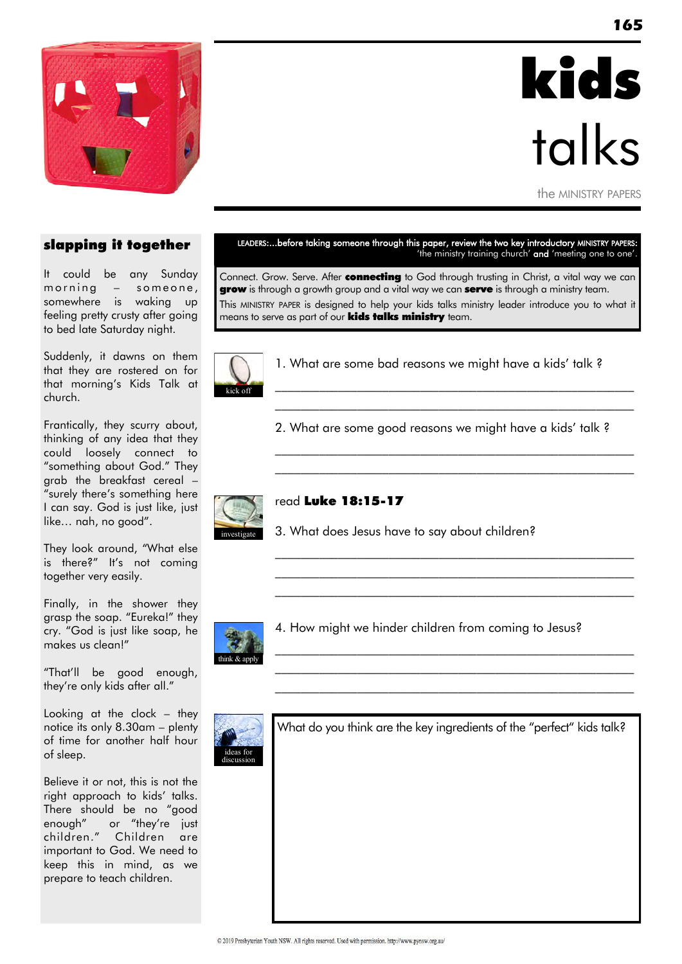

# kids talks

the MINISTRY PAPERS

#### slapping it together

It could be any Sunday  $m \, \text{o} \, \text{r}$  n  $m \, \text{o} \, \text{r}$  n  $m \, \text{o} \, \text{r}$  n  $m \, \text{o} \, \text{r}$  n  $m \, \text{o} \, \text{r}$  n  $m \, \text{o} \, \text{r}$  n  $m \, \text{o} \, \text{r}$  n  $m \, \text{o} \, \text{r}$  n  $m \, \text{o} \, \text{r}$  n  $m \, \text{o} \, \text{r}$  n  $m \, \text{o} \, \text{r}$  n  $m \, \text{o} \, \text$ somewhere is waking up feeling pretty crusty after going to bed late Saturday night.

Suddenly, it dawns on them that they are rostered on for that morning"s Kids Talk at church.

Frantically, they scurry about, thinking of any idea that they could loosely connect to "something about God." They grab the breakfast cereal – "surely there"s something here I can say. God is just like, just like… nah, no good".

They look around, "What else is there?" It's not coming together very easily.

Finally, in the shower they grasp the soap. "Eureka!" they cry. "God is just like soap, he makes us clean!"

"That"ll be good enough, they"re only kids after all."

Looking at the clock – they notice its only 8.30am – plenty of time for another half hour of sleep.

Believe it or not, this is not the right approach to kids' talks. There should be no "good enough" or "they're just children." Children are important to God. We need to keep this in mind, as we prepare to teach children.

#### LEADERS:...before taking someone through this paper, review the two key introductory MINISTRY PAPERS: 'the ministry training church' and 'meeting one to one'.

Connect. Grow. Serve. After connecting to God through trusting in Christ, a vital way we can **grow** is through a growth group and a vital way we can **serve** is through a ministry team. This MINISTRY PAPER is designed to help your kids talks ministry leader introduce you to what it means to serve as part of our **kids talks ministry** team.



1. What are some bad reasons we might have a kids' talk ?

\_\_\_\_\_\_\_\_\_\_\_\_\_\_\_\_\_\_\_\_\_\_\_\_\_\_\_\_\_\_\_\_\_\_\_\_\_\_\_\_\_\_\_\_\_\_\_\_\_\_\_\_\_\_\_\_\_ \_\_\_\_\_\_\_\_\_\_\_\_\_\_\_\_\_\_\_\_\_\_\_\_\_\_\_\_\_\_\_\_\_\_\_\_\_\_\_\_\_\_\_\_\_\_\_\_\_\_\_\_\_\_\_\_\_

 $\mathcal{L}_\text{max}$  and the contract of the contract of the contract of the contract of the contract of the contract of

\_\_\_\_\_\_\_\_\_\_\_\_\_\_\_\_\_\_\_\_\_\_\_\_\_\_\_\_\_\_\_\_\_\_\_\_\_\_\_\_\_\_\_\_\_\_\_\_\_\_\_\_\_\_\_\_\_ \_\_\_\_\_\_\_\_\_\_\_\_\_\_\_\_\_\_\_\_\_\_\_\_\_\_\_\_\_\_\_\_\_\_\_\_\_\_\_\_\_\_\_\_\_\_\_\_\_\_\_\_\_\_\_\_\_ \_\_\_\_\_\_\_\_\_\_\_\_\_\_\_\_\_\_\_\_\_\_\_\_\_\_\_\_\_\_\_\_\_\_\_\_\_\_\_\_\_\_\_\_\_\_\_\_\_\_\_\_\_\_\_\_\_

\_\_\_\_\_\_\_\_\_\_\_\_\_\_\_\_\_\_\_\_\_\_\_\_\_\_\_\_\_\_\_\_\_\_\_\_\_\_\_\_\_\_\_\_\_\_\_\_\_\_\_\_\_\_\_\_\_ \_\_\_\_\_\_\_\_\_\_\_\_\_\_\_\_\_\_\_\_\_\_\_\_\_\_\_\_\_\_\_\_\_\_\_\_\_\_\_\_\_\_\_\_\_\_\_\_\_\_\_\_\_\_\_\_\_ \_\_\_\_\_\_\_\_\_\_\_\_\_\_\_\_\_\_\_\_\_\_\_\_\_\_\_\_\_\_\_\_\_\_\_\_\_\_\_\_\_\_\_\_\_\_\_\_\_\_\_\_\_\_\_\_\_

2. What are some good reasons we might have a kids' talk ?



#### read Luke 18:15-17

3. What does Jesus have to say about children?



4. How might we hinder children from coming to Jesus?



What do you think are the key ingredients of the "perfect" kids talk?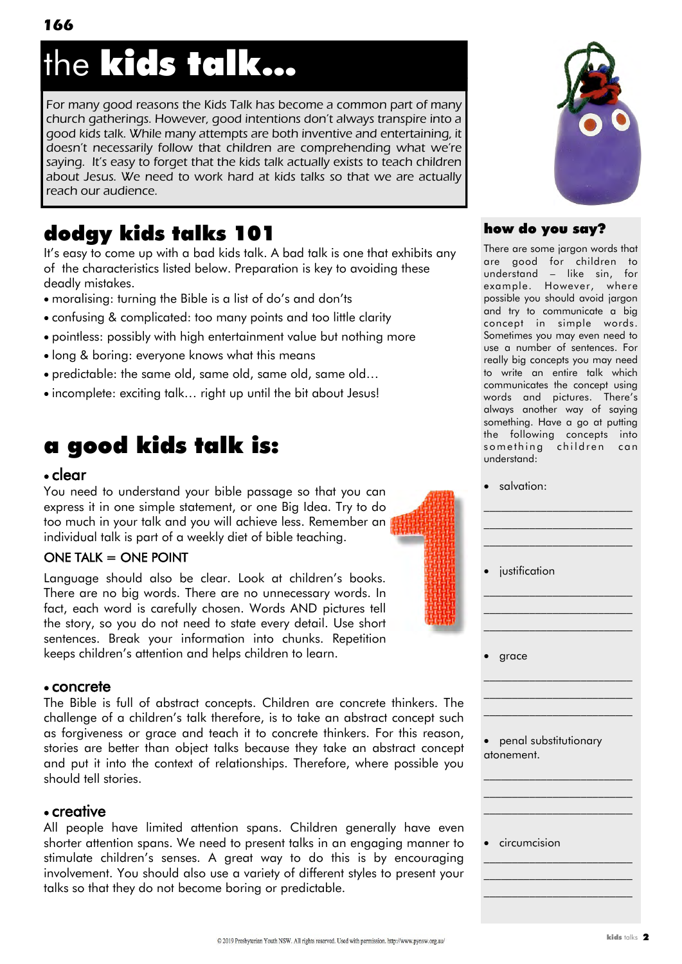## the kids talk...

For many good reasons the Kids Talk has become a common part of many church gatherings. However, good intentions don't always transpire into a good kids talk. While many attempts are both inventive and entertaining, it doesn't necessarily follow that children are comprehending what we're saying. It's easy to forget that the kids talk actually exists to teach children about Jesus. We need to work hard at kids talks so that we are actually reach our audience.

## dodgy kids talks 101

It"s easy to come up with a bad kids talk. A bad talk is one that exhibits any of the characteristics listed below. Preparation is key to avoiding these deadly mistakes.

- moralising: turning the Bible is a list of do"s and don"ts
- confusing & complicated: too many points and too little clarity
- pointless: possibly with high entertainment value but nothing more
- long & boring: everyone knows what this means
- predictable: the same old, same old, same old, same old…
- incomplete: exciting talk… right up until the bit about Jesus!

## a good kids talk is:

## clear

You need to understand your bible passage so that you can express it in one simple statement, or one Big Idea. Try to do too much in your talk and you will achieve less. Remember an individual talk is part of a weekly diet of bible teaching.

## $ONE$  TALK  $=$  ONE POINT

Language should also be clear. Look at children"s books. There are no big words. There are no unnecessary words. In fact, each word is carefully chosen. Words AND pictures tell the story, so you do not need to state every detail. Use short sentences. Break your information into chunks. Repetition keeps children"s attention and helps children to learn.

## concrete

The Bible is full of abstract concepts. Children are concrete thinkers. The challenge of a children"s talk therefore, is to take an abstract concept such as forgiveness or grace and teach it to concrete thinkers. For this reason, stories are better than object talks because they take an abstract concept and put it into the context of relationships. Therefore, where possible you should tell stories.

## creative

All people have limited attention spans. Children generally have even shorter attention spans. We need to present talks in an engaging manner to stimulate children's senses. A great way to do this is by encouraging involvement. You should also use a variety of different styles to present your talks so that they do not become boring or predictable.



## how do you say?

There are some jargon words that are good for children to understand – like sin, for example. However, where possible you should avoid jargon and try to communicate a big concept in simple words. Sometimes you may even need to use a number of sentences. For really big concepts you may need to write an entire talk which communicates the concept using words and pictures. There"s always another way of saying something. Have a go at putting the following concepts into something children can understand:

salvation:

|           | • justification                     |
|-----------|-------------------------------------|
|           |                                     |
|           | grace                               |
|           |                                     |
| $\bullet$ | penal substitutionary<br>atonement. |
|           |                                     |
|           | circumcision                        |
|           |                                     |
|           |                                     |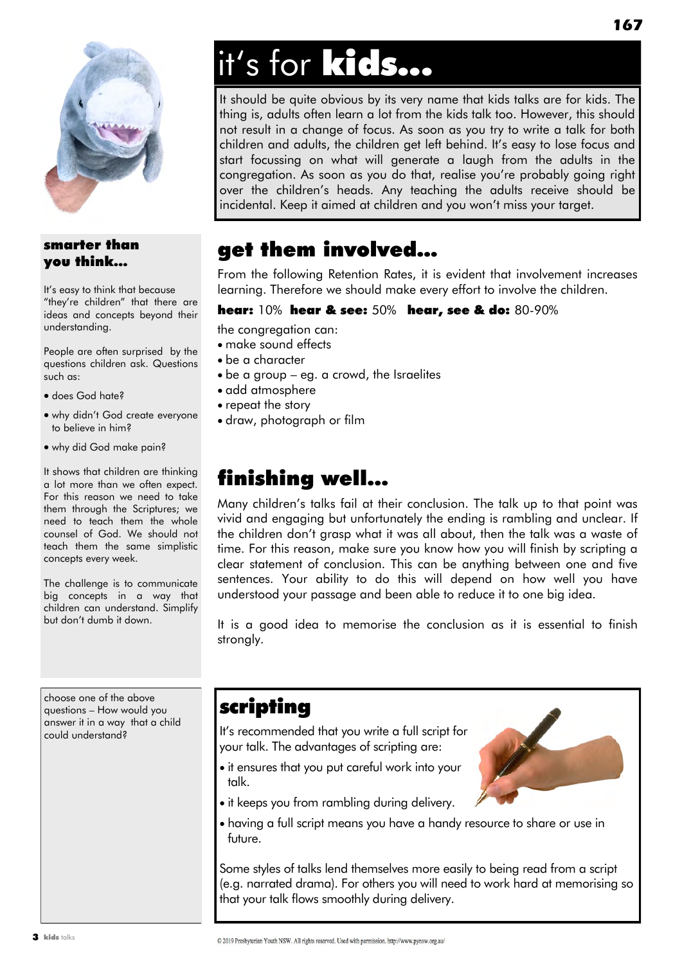

## smarter than you think...

It's easy to think that because "they"re children" that there are ideas and concepts beyond their understanding.

People are often surprised by the questions children ask. Questions such as:

- does God hate?
- why didn"t God create everyone to believe in him?
- why did God make pain?

It shows that children are thinking a lot more than we often expect. For this reason we need to take them through the Scriptures; we need to teach them the whole counsel of God. We should not teach them the same simplistic concepts every week.

The challenge is to communicate big concepts in a way that children can understand. Simplify but don"t dumb it down.

choose one of the above questions – How would you answer it in a way that a child could understand?

## it's for kids...

It should be quite obvious by its very name that kids talks are for kids. The thing is, adults often learn a lot from the kids talk too. However, this should not result in a change of focus. As soon as you try to write a talk for both children and adults, the children get left behind. It"s easy to lose focus and start focussing on what will generate a laugh from the adults in the congregation. As soon as you do that, realise you"re probably going right over the children"s heads. Any teaching the adults receive should be incidental. Keep it aimed at children and you won"t miss your target.

## get them involved…

From the following Retention Rates, it is evident that involvement increases learning. Therefore we should make every effort to involve the children.

#### hear: 10% hear & see: 50% hear, see & do: 80-90%

the congregation can:

- make sound effects
- be a character
- be a group eg. a crowd, the Israelites
- add atmosphere
- repeat the story
- draw, photograph or film

## finishing well...

Many children"s talks fail at their conclusion. The talk up to that point was vivid and engaging but unfortunately the ending is rambling and unclear. If the children don"t grasp what it was all about, then the talk was a waste of time. For this reason, make sure you know how you will finish by scripting a clear statement of conclusion. This can be anything between one and five sentences. Your ability to do this will depend on how well you have understood your passage and been able to reduce it to one big idea.

It is a good idea to memorise the conclusion as it is essential to finish strongly.

## scripting

It"s recommended that you write a full script for your talk. The advantages of scripting are:

- it ensures that you put careful work into your talk.
- it keeps you from rambling during delivery.
- having a full script means you have a handy resource to share or use in future.

Some styles of talks lend themselves more easily to being read from a script (e.g. narrated drama). For others you will need to work hard at memorising so that your talk flows smoothly during delivery.